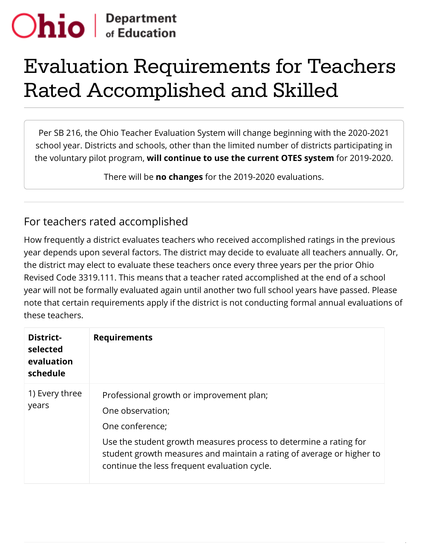## $|$  $<sub>of</sub> Equation$ </sub>

## Evaluation Requirements for Teachers Rated Accomplished and Skilled

Per SB 216, the Ohio Teacher Evaluation System will change beginning with the 2020-2021 school year. Districts and schools, other than the limited number of districts participating in the voluntary pilot program, **will continue to use the current OTES system** for 2019-2020.

There will be **no changes** for the 2019-2020 evaluations.

## For teachers rated accomplished

How frequently a district evaluates teachers who received accomplished ratings in the previous year depends upon several factors. The district may decide to evaluate all teachers annually. Or, the district may elect to evaluate these teachers once every three years per the prior Ohio Revised Code 3319.111. This means that a teacher rated accomplished at the end of a school year will not be formally evaluated again until another two full school years have passed. Please note that certain requirements apply if the district is not conducting formal annual evaluations of these teachers.

| <b>District-</b><br>selected<br>evaluation<br>schedule | <b>Requirements</b>                                                                                                                                                                                                                                                           |
|--------------------------------------------------------|-------------------------------------------------------------------------------------------------------------------------------------------------------------------------------------------------------------------------------------------------------------------------------|
| 1) Every three<br>years                                | Professional growth or improvement plan;<br>One observation;<br>One conference;<br>Use the student growth measures process to determine a rating for<br>student growth measures and maintain a rating of average or higher to<br>continue the less frequent evaluation cycle. |

/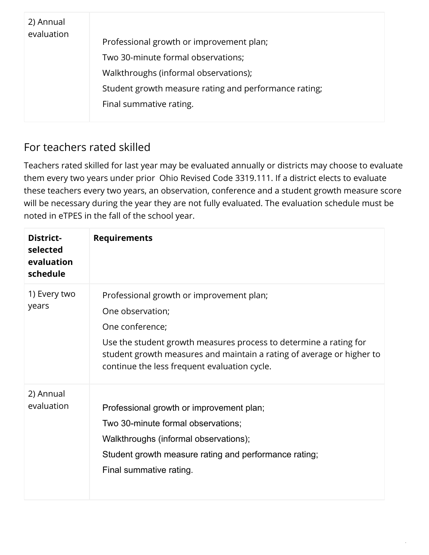| 2) Annual<br>evaluation |                                                       |
|-------------------------|-------------------------------------------------------|
|                         | Professional growth or improvement plan;              |
|                         | Two 30-minute formal observations;                    |
|                         | Walkthroughs (informal observations);                 |
|                         | Student growth measure rating and performance rating; |
|                         | Final summative rating.                               |
|                         |                                                       |

## For teachers rated skilled

Teachers rated skilled for last year may be evaluated annually or districts may choose to evaluate them every two years under prior Ohio Revised Code 3319.111. If a district elects to evaluate these teachers every two years, an observation, conference and a student growth measure score will be necessary during the year they are not fully evaluated. The evaluation schedule must be noted in eTPES in the fall of the school year.

| District-<br>selected<br>evaluation<br>schedule | <b>Requirements</b>                                                                                                                                                                                                                                                           |
|-------------------------------------------------|-------------------------------------------------------------------------------------------------------------------------------------------------------------------------------------------------------------------------------------------------------------------------------|
| 1) Every two<br>years                           | Professional growth or improvement plan;<br>One observation;<br>One conference;<br>Use the student growth measures process to determine a rating for<br>student growth measures and maintain a rating of average or higher to<br>continue the less frequent evaluation cycle. |
| 2) Annual<br>evaluation                         | Professional growth or improvement plan;<br>Two 30-minute formal observations;<br>Walkthroughs (informal observations);<br>Student growth measure rating and performance rating;<br>Final summative rating.                                                                   |

/